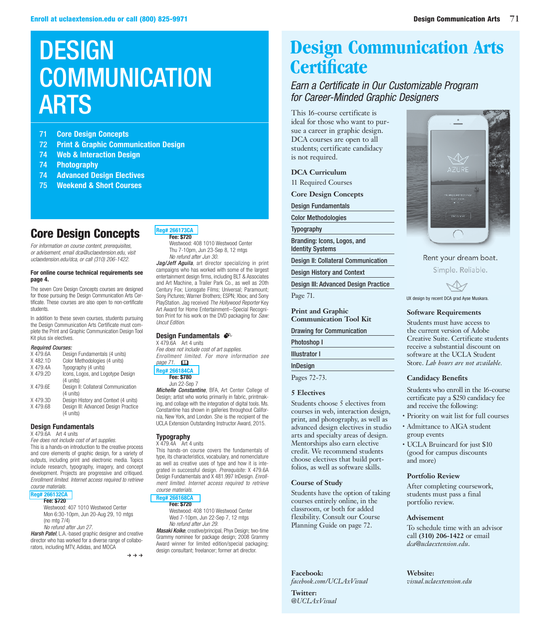# **DESIGN** COMMUNICATION ARTS

- 71 **Core Design Concepts**
- 72 **Print & Graphic Communication Design**
- 74 **Web & Interaction Design**
- 74 **Photography**
- 74 **Advanced Design Electives**
- 75 **Weekend & Short Courses**

## Core Design Concepts

*For information on course content, prerequisites, or advisement, email dca@uclaextension.edu, visit uclaextension.edu/dca, or call (310) 206-1422.*

### **For online course technical requirements see page 4.**

The seven Core Design Concepts courses are designed for those pursuing the Design Communication Arts Certificate. These courses are also open to non-certificate students.

In addition to these seven courses, students pursuing the Design Communication Arts Certificate must complete the Print and Graphic Communication Design Tool Kit plus six electives.

### *Required Courses:*

| X 479.6A | Design Fundamentals (4 units)                     |
|----------|---------------------------------------------------|
| X482.1D  | Color Methodologies (4 units)                     |
| X 479.4A | Typography (4 units)                              |
| X479.2D  | Icons, Logos, and Logotype Design<br>(4 units)    |
| X 479.6E | Design II: Collateral Communication<br>(4 units)  |
| X479.3D  | Design History and Context (4 units)              |
| X479.68  | Design III: Advanced Design Practice<br>(4 units) |

### **Design Fundamentals**

X 479.6A Art 4 units

*Fee does not include cost of art supplies.*

This is a hands-on introduction to the creative process and core elements of graphic design, for a variety of outputs, including print and electronic media. Topics include research, typography, imagery, and concept development. Projects are progressive and critiqued. *Enrollment limited. Internet access required to retrieve course materials.*

### **[Reg# 266132CA](https://www.uclaextension.edu/pages/Course.aspx?reg=266132)**

#### **Fee: \$720**

Westwood: 407 1010 Westwood Center Mon 6:30-10pm, Jun 20-Aug 29, 10 mtgs (no mtg 7/4) *No refund after Jun 27.*

*Harsh Patel*, L.A.-based graphic designer and creative director who has worked for a diverse range of collaborators, including MTV, Adidas, and MOCA

 $\rightarrow \rightarrow \rightarrow$ 

#### **[Reg# 266173CA](https://www.uclaextension.edu/pages/Course.aspx?reg=266173) Fee: \$720**

Westwood: 408 1010 Westwood Center Thu 7-10pm, Jun 23-Sep 8, 12 mtgs *No refund after Jun 30.*

*Jag/Jeff Aguila*, art director specializing in print campaigns who has worked with some of the largest entertainment design firms, including BLT & Associates and Art Machine, a Trailer Park Co., as well as 20th Century Fox; Lionsgate Films; Universal; Paramount; Sony Pictures; Warner Brothers; ESPN; Xbox; and Sony PlayStation. Jag received *The Hollywood Reporter* Key Art Award for Home Entertainment—Special Recognition Print for his work on the DVD packaging for *Saw: Uncut Edition*.

### **Design Fundamentals**

X 479.6A Art 4 units *Fee does not include cost of art supplies. Enrollment limited. For more information see page 71.* &

**[Reg# 266184CA](https://www.uclaextension.edu/pages/Course.aspx?reg=266184) Fee: \$780**

Jun 22-Sep 7

*Michelle Constantine*, BFA, Art Center College of Design; artist who works primarily in fabric, printmaking, and collage with the integration of digital tools. Ms. Constantine has shown in galleries throughout California, New York, and London. She is the recipient of the UCLA Extension Outstanding Instructor Award, 2015.

### **Typography**

 $X$  479.4A Art 4 units This hands-on course covers the fundamentals of type, its characteristics, vocabulary, and nomenclature as well as creative uses of type and how it is inte-

grated in successful design. *Prerequisite:* X 479.6A Design Fundamentals and X 481.997 InDesign. *Enrollment limited. Internet access required to retrieve course materials.*

#### **[Reg# 266168CA](https://www.uclaextension.edu/pages/Course.aspx?reg=266168) Fee: \$720**

Westwood: 408 1010 Westwood Center Wed 7-10pm, Jun 22-Sep 7, 12 mtgs *No refund after Jun 29. Masaki Koike*, creative/principal, Phyx Design; two-time Grammy nominee for package design; 2008 Grammy

Award winner for limited edition/special packaging; design consultant; freelancer; former art director.

## **Design Communication Arts Certificate**

### *Earn a Certificate in Our Customizable Program for Career-Minded Graphic Designers*

This 16-course certificate is ideal for those who want to pursue a career in graphic design. DCA courses are open to all students; certificate candidacy is not required.

### **DCA Curriculum**

11 Required Courses

**Core Design Concepts**

Design Fundamentals

Color Methodologies

Typography

Branding: Icons, Logos, and Identity Systems

Design II: Collateral Communication

Design History and Context

Design III: Advanced Design Practice

Page 71.

**Print and Graphic Communication Tool Kit**

Drawing for Communication

Photoshop I

Illustrator I

InDesign

Pages 72-73.

### **5 Electives**

Students choose 5 electives from courses in web, interaction design, print, and photography, as well as advanced design electives in studio arts and specialty areas of design. Mentorships also earn elective credit. We recommend students choose electives that build portfolios, as well as software skills.

### **Course of Study**

Students have the option of taking courses entirely online, in the classroom, or both for added flexibility. Consult our Course Planning Guide on page 72.

**Facebook:** 

*facebook.com/UCLAxVisual*

**Twitter:**  *@UCLAxVisual*



Rent your dream boat.

Simple. Reliable.



UX design by recent DCA grad Ayse Muskara.

### **Software Requirements**

Students must have access to the current version of Adobe Creative Suite. Certificate students receive a substantial discount on software at the UCLA Student Store. *Lab hours are not available.*

### **Candidacy Benefits**

Students who enroll in the 16-course certificate pay a \$250 candidacy fee and receive the following:

- Priority on wait list for full courses
- Admittance to AIGA student group events
- UCLA Bruincard for just \$10 (good for campus discounts and more)

### **Portfolio Review**

After completing coursework, students must pass a final portfolio review.

### **Advisement**

To schedule time with an advisor call **(310) 206-1422** or email *dca@uclaextension.edu*.

#### **Website:** *visual.uclaextension.edu*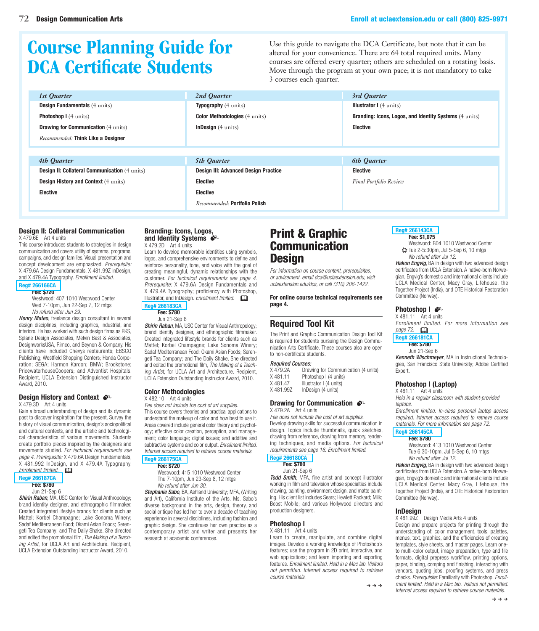# **Course Planning Guide for DCA Certificate Students**

Use this guide to navigate the DCA Certificate, but note that it can be altered for your convenience. There are 64 total required units. Many courses are offered every quarter; others are scheduled on a rotating basis. Move through the program at your own pace; it is not mandatory to take 3 courses each quarter.

| 1st Quarter                                          | 2nd Ouarter                                 | 3rd Quarter                                            |
|------------------------------------------------------|---------------------------------------------|--------------------------------------------------------|
| <b>Design Fundamentals</b> (4 units)                 | <b>Typography</b> (4 units)                 | <b>Illustrator I</b> (4 units)                         |
| <b>Photoshop I</b> (4 units)                         | <b>Color Methodologies</b> (4 units)        | Branding: Icons, Logos, and Identity Systems (4 units) |
| <b>Drawing for Communication</b> (4 units)           | <b>InDesign</b> $(4 \text{ units})$         | <b>Elective</b>                                        |
| Recommended: Think Like a Designer                   |                                             |                                                        |
|                                                      |                                             |                                                        |
| 4th Quarter                                          | <b>5th Ouarter</b>                          | <b>6th Quarter</b>                                     |
| <b>Design II: Collateral Communication (4 units)</b> | <b>Design III: Advanced Design Practice</b> | <b>Elective</b>                                        |
| <b>Design History and Context (4 units)</b>          | <b>Elective</b>                             | <b>Final Portfolio Review</b>                          |
| <b>Elective</b>                                      | <b>Elective</b>                             |                                                        |

### **Design II: Collateral Communication**

X 479.6E Art 4 units

This course introduces students to strategies in design communication and covers utility of systems, programs, campaigns, and design families. Visual presentation and concept development are emphasized. *Prerequisite:* X 479.6A Design Fundamentals, X 481.99Z InDesign, and X 479.4A Typography. *Enrollment limited.*

### **[Reg# 266166CA](https://www.uclaextension.edu/pages/Course.aspx?reg=266166)**

### **Fee: \$720**

Westwood: 407 1010 Westwood Center Wed 7-10pm, Jun 22-Sep 7, 12 mtgs *No refund after Jun 29.*

*Henry Mateo*, freelance design consultant in several design disciplines, including graphics, industrial, and interiors. He has worked with such design firms as RKS, Splane Design Associates, Melvin Best & Associates, DesignworksUSA, Rimco, and Beynon & Company. His clients have included Chevys restaurants; EBSCO Publishing; Westfield Shopping Centers; Honda Corporation; SEGA; Harmon Kardon; BMW; Brookstone; PricewaterhouseCoopers; and Adventist Hospitals. Recipient, UCLA Extension Distinguished Instructor Award, 2010.

### **Design History and Context**  $\cdot$

X 479.3D Art 4 units

Gain a broad understanding of design and its dynamic past to discover inspiration for the present. Survey the history of visual communication, design's sociopolitical and cultural contexts, and the artistic and technological characteristics of various movements. Students create portfolio pieces inspired by the designers and movements studied. *For technical requirements see page 4. Prerequisite:* X 479.6A Design Fundamentals, X 481.992 InDesign, and X 479.4A Typography. *Enrollment limited.* 

### **[Reg# 266187CA](https://www.uclaextension.edu/pages/Course.aspx?reg=266187)**

**Fee: \$780**

Jun 21-Sep 6

*Shirin Raban*, MA, USC Center for Visual Anthropology; brand identity designer, and ethnographic filmmaker. Created integrated lifestyle brands for clients such as Mattel; Korbel Champagne; Lake Sonoma Winery; Sadaf Mediterranean Food; Okami Asian Foods; Serengeti Tea Company; and The Daily Shake. She directed and edited the promotional film, *The Making of a Teaching Artist*, for UCLA Art and Architecture. Recipient, UCLA Extension Outstanding Instructor Award, 2010.

#### **Branding: Icons, Logos, and Identity Systems**  $\bullet$ <sup>c</sup> X 479.2D Art 4 units

Learn to develop memorable identities using symbols, logos, and comprehensive environments to define and reinforce personality, tone, and voice with the goal of creating meaningful, dynamic relationships with the customer. *For technical requirements see page 4. Prerequisite:* X 479.6A Design Fundamentals and X 479.4A Typography; proficiency with Photoshop, Illustrator, and InDesign. *Enrollment limited.*  $\square$ 

*Recommended:* **Portfolio Polish**

**[Reg# 266183CA](https://www.uclaextension.edu/pages/Course.aspx?reg=266183) Fee: \$780**

### Jun 21-Sep 6

*Shirin Raban*, MA, USC Center for Visual Anthropology; brand identity designer, and ethnographic filmmaker. Created integrated lifestyle brands for clients such as Mattel; Korbel Champagne; Lake Sonoma Winery; Sadaf Mediterranean Food; Okami Asian Foods; Serengeti Tea Company; and The Daily Shake. She directed and edited the promotional film, *The Making of a Teaching Artist*, for UCLA Art and Architecture. Recipient, UCLA Extension Outstanding Instructor Award, 2010.

### **Color Methodologies**

X 482.10 Art 4 units

*Fee does not include the cost of art supplies.* This course covers theories and practical applications to understand the makeup of color and how best to use it. Areas covered include general color theory and psychology; effective color creation, perception, and management; color language; digital issues; and additive and subtractive systems and color output. *Enrollment limited. Internet access required to retrieve course materials.* **[Reg# 266175CA](https://www.uclaextension.edu/pages/Course.aspx?reg=266175)**

### **Fee: \$720**

Westwood: 415 1010 Westwood Center Thu 7-10pm, Jun 23-Sep 8, 12 mtgs *No refund after Jun 30.*

*Stephanie Sabo*, BA, Ashland University; MFA, (Writing and Art), California Institute of the Arts. Ms. Sabo's diverse background in the arts, design, theory, and social critique has led her to over a decade of teaching experience in several disciplines, including fashion and graphic design. She continues her own practice as a contemporary artist and writer and presents her research at academic conferences.

### Print & Graphic Communication **Design**

*For information on course content, prerequisites, or advisement, email dca@uclaextension.edu, visit uclaextension.edu/dca, or call (310) 206-1422.*

**For online course technical requirements see page 4.**

### **Required Tool Kit**

The Print and Graphic Communication Design Tool Kit is required for students pursuing the Design Communication Arts Certificate. These courses also are open to non-certificate students.

### *Required Courses:*

- X 479.2A Drawing for Communication (4 units) X 481.11 Photoshop I (4 units)
- X 481.47 Illustrator I (4 units)
- X 481.99Z InDesign (4 units)

#### **Drawing for Communication**  $\mathcal{L}$ X 479.2A Art 4 units

*Fee does not include the cost of art supplies.* Develop drawing skills for successful communication in design. Topics include thumbnails, quick sketches, drawing from reference, drawing from memory, rendering techniques, and media options. *For technical requirements see page 16. Enrollment limited.*

### **[Reg# 266180CA](https://www.uclaextension.edu/pages/Course.aspx?reg=266180)**

**Fee: \$780** Jun 21-Sep 6

*Todd Smith*, MFA, fine artist and concept illustrator working in film and television whose specialties include drawing, painting, environment design, and matte painting. His client list includes Sears; Hewlett Packard; Milk; Boost Mobile; and various Hollywood directors and production designers.

### **Photoshop I**

X 481.11 Art 4 units

Learn to create, manipulate, and combine digital images. Develop a working knowledge of Photoshop's features; use the program in 2D print, interactive, and web applications; and learn importing and exporting features. *Enrollment limited. Held in a Mac lab. Visitors not permitted. Internet access required to retrieve course materials.*

### **[Reg# 266143CA](https://www.uclaextension.edu/pages/Course.aspx?reg=266143) Fee: \$1,075**

Westwood: B04 1010 Westwood Center ✷ Tue 2-5:30pm, Jul 5-Sep 6, 10 mtgs

*No refund after Jul 12.*

*Hakon Engvig*, BA in design with two advanced design certificates from UCLA Extension. A native-born Norwegian, Engvig's domestic and international clients include UCLA Medical Center, Macy Gray, Lifehouse, the Together Project (India), and OTE Historical Restoration Committee (Norway).

### **Photoshop I**  $\mathcal{S}^{\mathbb{R}}$

X 481.11 Art 4 units *Enrollment limited. For more information see* 

*page 72.* & **[Reg# 266181CA](https://www.uclaextension.edu/pages/Course.aspx?reg=266181)**

### **Fee: \$780**

Jun 21-Sep 6

*Kenneth Wischmeyer*, MA in Instructional Technologies, San Francisco State University; Adobe Certified Expert.

### **Photoshop I (Laptop)**

X 481.11 Art 4 units *Held in a regular classroom with student-provided laptops.*

*Enrollment limited. In-class personal laptop access required. Internet access required to retrieve course materials. For more information see page 72.*

#### **[Reg# 266145CA](https://www.uclaextension.edu/pages/Course.aspx?reg=266145) Fee: \$780**

Westwood: 413 1010 Westwood Center Tue 6:30-10pm, Jul 5-Sep 6, 10 mtgs *No refund after Jul 12.*

*Hakon Engvig*, BA in design with two advanced design certificates from UCLA Extension. A native-born Norwegian, Engvig's domestic and international clients include UCLA Medical Center, Macy Gray, Lifehouse, the Together Project (India), and OTE Historical Restoration Committee (Norway).

### **InDesign**

X 481.99Z Design Media Arts 4 units

Design and prepare projects for printing through the understanding of: color management, tools, palettes, menus, text, graphics, and the efficiencies of creating templates, style sheets, and master pages. Learn oneto multi-color output, image preparation, type and file formats, digital prepress workflow, printing options, paper, binding, comping and finishing, interacting with vendors, quoting jobs, proofing systems, and press checks. *Prerequisite:* Familiarity with Photoshop. *Enrollment limited. Held in a Mac lab. Visitors not permitted. Internet access required to retrieve course materials.*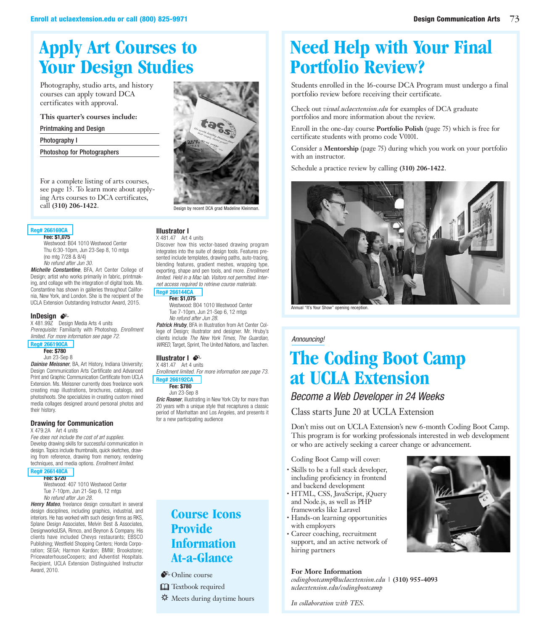## **Apply Art Courses to Your Design Studies**

Photography, studio arts, and history courses can apply toward DCA certificates with approval.

**This quarter's courses include:**

Printmaking and Design

### Photography I

Photoshop for Photographers

For a complete listing of arts courses, see page 15. To learn more about applying Arts courses to DCA certificates, call (310) 206-1422.

### **[Reg# 266169CA](https://www.uclaextension.edu/pages/Course.aspx?reg=266169)**

**Fee: \$1,075**

Westwood: B04 1010 Westwood Center Thu 6:30-10pm, Jun 23-Sep 8, 10 mtgs (no mtg 7/28 & 8/4) *No refund after Jun 30.*

*Michelle Constantine*, BFA, Art Center College of Design; artist who works primarily in fabric, printmaking, and collage with the integration of digital tools. Ms. Constantine has shown in galleries throughout California, New York, and London. She is the recipient of the UCLA Extension Outstanding Instructor Award, 2015.

### **InDesign**  $\bullet$ <sup>2</sup>

X 481.99Z Design Media Arts 4 units *Prerequisite:* Familiarity with Photoshop. *Enrollment limited. For more information see page 72.*

### **[Reg# 266190CA](https://www.uclaextension.edu/pages/Course.aspx?reg=266190)**

### **Fee: \$780**

Jun 23-Sep 8

*Dainise Meissner*, BA, Art History, Indiana University; Design Communication Arts Certificate and Advanced Print and Graphic Communication Certificate from UCLA Extension. Ms. Meissner currently does freelance work creating map illustrations, brochures, catalogs, and photoshoots. She specializies in creating custom mixed media collages designed around personal photos and their history.

### **Drawing for Communication**

X 479.2A Art 4 units

*Fee does not include the cost of art supplies.* Develop drawing skills for successful communication in design. Topics include thumbnails, quick sketches, drawing from reference, drawing from memory, rendering techniques, and media options. *Enrollment limited.*

### **[Reg# 266148CA](https://www.uclaextension.edu/pages/Course.aspx?reg=266148)**

**Fee: \$720**

Westwood: 407 1010 Westwood Center Tue 7-10pm, Jun 21-Sep 6, 12 mtgs *No refund after Jun 28.*

*Henry Mateo*, freelance design consultant in several design disciplines, including graphics, industrial, and interiors. He has worked with such design firms as RKS, Splane Design Associates, Melvin Best & Associates, DesignworksUSA, Rimco, and Beynon & Company. His clients have included Chevys restaurants; EBSCO Publishing; Westfield Shopping Centers; Honda Corporation; SEGA; Harmon Kardon; BMW; Brookstone; PricewaterhouseCoopers; and Adventist Hospitals. Recipient, UCLA Extension Distinguished Instructor Award, 2010.



### **Illustrator I**

X 481.47 Art 4 units Discover how this vector-based drawing program integrates into the suite of design tools. Features presented include templates, drawing paths, auto-tracing, blending features, gradient meshes, wrapping type, exporting, shape and pen tools, and more. *Enrollment limited. Held in a Mac lab. Visitors not permitted. Internet access required to retrieve course materials.*

#### **[Reg# 266144CA](https://www.uclaextension.edu/pages/Course.aspx?reg=266144) Fee: \$1,075**

Westwood: B04 1010 Westwood Center Tue 7-10pm, Jun 21-Sep 6, 12 mtgs *No refund after Jun 28.*

*Patrick Hruby*, BFA in Illustration from Art Center College of Design; illustrator and designer. Mr. Hruby's clients include *The New York Times, The Guardian, WIRED*, Target, Sprint, The United Nations, and Taschen.

### **Illustrator I**  $\mathcal{F}^{\mathbb{C}}$

X 481.47 Art 4 units *Enrollment limited. For more information see page 73.*

**[Reg# 266192CA](https://www.uclaextension.edu/pages/Course.aspx?reg=266192)**

#### **Fee: \$780** Jun 23-Sep 8

*Eric Rosner*, illustrating in New York City for more than 20 years with a unique style that recaptures a classic period of Manhattan and Los Angeles, and presents it for a new participating audience

> **Course Icons Provide Information At-a-Glance**

 $\bullet$  Online course

**Q** Textbook required **※** Meets during daytime hours

## **Need Help with Your Final Portfolio Review?**

Students enrolled in the 16-course DCA Program must undergo a final portfolio review before receiving their certificate.

Check out *visual.uclaextension.edu* for examples of DCA graduate portfolios and more information about the review.

Enroll in the one-day course **Portfolio Polish** (page 75) which is free for certificate students with promo code V0101.

Consider a **Mentorship** (page 75) during which you work on your portfolio with an instructor.

Schedule a practice review by calling **(310) 206-1422**.



Annual "It's Your Show" opening reception.

### *Announcing!*

# **The Coding Boot Camp at UCLA Extension**

### *Become a Web Developer in 24 Weeks*

### Class starts June 20 at UCLA Extension

Don't miss out on UCLA Extension's new 6-month Coding Boot Camp. This program is for working professionals interested in web development or who are actively seeking a career change or advancement.

Coding Boot Camp will cover:

- Skills to be a full stack developer, including proficiency in frontend and backend development
- HTML, CSS, JavaScript, jQuery and Node.js, as well as PHP frameworks like Laravel
- Hands-on learning opportunities with employers
- Career coaching, recruitment support, and an active network of hiring partners

### **For More Information**

*codingbootcamp@uclaextension.edu* | **(310) 955-4093** *uclaextension.edu/codingbootcamp*

*In collaboration with TES.*

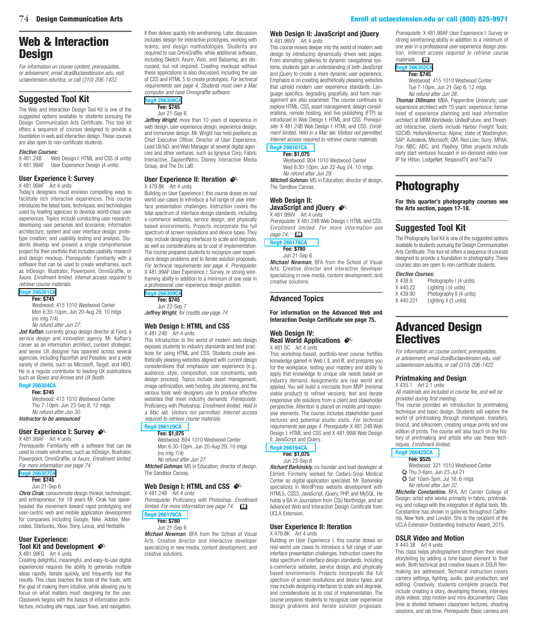### Web & Interaction **Design**

*For information on course content, prerequisites, or advisement, email dca@uclaextension.edu, visit uclaextension.edu/dca, or call (310) 206-1422.*

### **Suggested Tool Kit**

The Web and Interaction Design Tool Kit is one of the suggested options available to students pursuing the Design Communication Arts Certificate. This tool kit offers a sequence of courses designed to provide a foundation in web and interaction design. These courses are also open to non-certificate students.

### *Elective Courses:*

Web Design I: HTML and CSS (4 units) X 481.99AF User Experience Design (4 units)

### **User Experience I: Survey**

X 481.99AF Art 4 units

Today's designers must envision compelling ways to facilitate rich interactive experiences. This course introduces the latest tools, techniques, and technologies used by leading agencies to develop world-class user experiences. Topics include conducting user research; developing user personas and scenarios; information architecture; system and user interface design; prototype creation; and usability testing and analysis. Students develop and present a single comprehensive project for their portfolio that includes usability research and design mockup. *Prerequisite:* Familiarity with a software that can be used to create wireframes, such as InDesign, Illustrator, Powerpoint, OmniGraffle, or Axure. *Enrollment limited. Internet access required to retrieve course materials.*

### **[Reg# 266301CA](https://www.uclaextension.edu/pages/Course.aspx?reg=266301&qe=true)**

#### **Fee: \$745**

Westwood: 415 1010 Westwood Center Mon 6:30-10pm, Jun 20-Aug 29, 10 mtgs (no mtg 7/4)

*No refund after Jun 27.*

Jod Kaftan, currently group design director at Fjord, a service design and innovation agency. Mr. Kaftan's career as an information architect, content strategist, and senior UX designer has spanned across several agencies, including Razorfish and Possible, and a wide variety of clients, such as Microsoft, Target, and HBO. He is a regular contributor to leading UX publications such as *Boxes and Arrows* and *UX Booth*.

### **Reg# 266304CA**

**Fee: \$745** Westwood: 413 1010 Westwood Center Thu 7-10pm, Jun 23-Sep 8, 12 mtgs *No refund after Jun 30. Instructor to be announced*

### **User Experience I: Survey**  $\bullet^{\circ}$

X 481.99AF Art 4 units

*Prerequisite:* Familiarity with a software that can be used to create wireframes, such as InDesign, Illustrator, Powerpoint, OmniGraffle, or Axure. *Enrollment limited. For more information see page 74.*

### **[Reg# 266307CA](https://www.uclaextension.edu/pages/Course.aspx?reg=266307&qe=true)**

**Fee: \$745**

Jun 21-Sep 6

*Chris Cirak*, consummate design thinker, technologist, and entrepreneur; for 18 years Mr. Cirak has spearheaded the movement toward rapid prototyping and user-centric web and mobile application development for companies including Google, Nike, Adobe, Mercedes, Starbucks, Xbox, Sony, Lexus, and Herbalife.

#### **User Experience: Tool Kit and Development**  $\bullet$ X 481.99FG Art 4 units

Creating delightful, meaningful, and easy-to-use digital experiences requires the ability to generate multiple ideas rapidly, iterate quickly, and frequently test the results. This class teaches the tools of the trade, with the goal of making them intuitive, while allowing you to focus on what matters most: designing for the user. Classwork begins with the basics of information architecture, including site maps, user flows, and navigation.

It then delves quickly into wireframing. Later, discussion includes design for interactive prototypes, working with teams, and design methodologies. Students are required to use OmniGraffle, while additional software, including Sketch, Axure, Visio, and Balsamiq, are discussed, but not required. Creating mockups without these applications is also discussed, including the use of CSS and HTML 5 to create prototypes. *For technical requirements see page 4. Students must own a Mac computer and have Omnigraffle software.*

#### **[Reg# 266308CA](https://www.uclaextension.edu/pages/Course.aspx?reg=266308&qe=true) Fee: \$745**

Jun 21-Sep 6

*Jeffrey Wright*, more than 10 years of experience in web design, user experience design, experience design, and immersive design. Mr. Wright has held positions as Chief Executive Officer, Director of User Experience, Lead UX/IxD, and Web Manager at several digital agencies and other ventures, such as Ignyous Corp, Fabric Interactive, SapientNitro, Disney Interactive Media Group, and The Do LaB.

#### **User Experience II: Iteration**  $\bullet$ X 479.8K Art 4 units

Building on User Experience I, this course draws on real world use-cases to introduce a full range of user interface presentation challenges. Instruction covers the total spectrum of interface design standards, including e-commerce websites, service design, and physically based environments. Projects incorporate the full spectrum of screen resolutions and device types. They may include designing interfaces to scale and degrade, as well as considerations as to cost of implementation. The course prepares students to recognize user experience design problems and to iterate solution proposals. *For technical requirements see page 4. Prerequisite:* X 481.99AF User Experience I: Survey, or strong wireframing ability in addition to a minimum of one year in a professional user experience design position.

### **[Reg# 266309CA](https://www.uclaextension.edu/pages/Course.aspx?reg=266309&qe=true)**

**Fee: \$745** Jun 22-Sep 7

*Jeffrey Wright*, *for credits see page 74*

#### **Web Design I: HTML and CSS** X 481.24B Art 4 units

This introduction to the world of modern web design exposes students to industry standards and best practices for using HTML and CSS. Students create aesthetically pleasing websites aligned with current design considerations that emphasize user experience (e.g., audience, style, composition, size constraints, web design process). Topics include asset management, image optimization, web hosting, site planning, and the various tools web designers use to produce effective websites that meet industry demands. *Prerequisite:* Proficiency with Photoshop. *Enrollment limited. Held in a Mac lab. Visitors not permitted. Internet access required to retrieve course materials.*

#### **[Reg# 266129CA](https://www.uclaextension.edu/pages/Course.aspx?reg=266129) Fee: \$1,075**

Westwood: B04 1010 Westwood Center Mon 6:30-10pm, Jun 20-Aug 29, 10 mtgs (no mtg 7/4) *No refund after Jun 27. Mitchell Gohman*, MS in Education; director of design, The Sandbox Canvas.

### **Web Design I: HTML and CSS**  $^{\circ}$

 $X$  481.24B  $\overline{A}$ rt 4 units *Prerequisite:* Proficiency with Photoshop. *Enrollment*   $I$ *limited. For more information see page 74.*  $\Box$ **[Reg# 266179CA](https://www.uclaextension.edu/pages/Course.aspx?reg=266179)**

### **Fee: \$780**

Jun 21-Sep 6

*Michael Newman*, BFA from the School of Visual Arts. Creative director and interactive developer specializing in new media, content development, and creative solutions.

### **Web Design II: JavaScript and jQuery**  $X$  481.99VV Art 4 units

This course moves deeper into the world of modern web design by introducing dynamically driven web pages. From animating galleries to dynamic navigational systems, students gain an understanding of both JavaScript and jQuery to create a more dynamic user experience. Emphasis is on creating aesthetically pleasing websites that uphold modern user experience standards. Language specifics, degrading gracefully, and form management are also examined. The course continues to explore HTML, CSS, asset management, design considerations, remote hosting, and live publishing (FTP) as introduced in Web Design I: HTML and CSS. *Prerequisite:* X 481.24B Web Design I: HTML and CSS. *Enrollment limited. Held in a Mac lab. Visitors not permitted. Internet access required to retrieve course materials.* **[Reg# 266161CA](https://www.uclaextension.edu/pages/Course.aspx?reg=266161)**

### **Fee: \$1,075**

Westwood: B04 1010 Westwood Center Wed 6:30-10pm, Jun 22-Aug 24, 10 mtgs *No refund after Jun 29.*

*Mitchell Gohman*, MS in Education; director of design, The Sandbox Canvas.

### **Web Design II:**

**JavaScript and jQuery**  $\bullet^{\circ}$ X 481.99VV Art 4 units

*Prerequisite:* X 481.24B Web Design I: HTML and CSS. *Enrollment limited. For more information see page 74.* &

### **[Reg# 266178CA](https://www.uclaextension.edu/pages/Course.aspx?reg=266178)**

**Fee: \$780**

Jun 21-Sep 6

*Michael Newman*, BFA from the School of Visual Arts. Creative director and interactive developer specializing in new media, content development, and creative solutions.

### **Advanced Topics**

**For information on the Advanced Web and Interaction Design Certificate see page 75.**

#### **Web Design IV: Real World Applications**  $\mathbf{\hat{\bullet}}^{\mathbb{C}}$ X 481.5C Art 4 units

This workshop-based, portfolio-level course fortifies knowledge gained in Web I, II, and III, and prepares you for the workplace, testing your mastery and ability to apply that knowledge to unique site needs based on industry demand. Assignments are real world and applied. You will build a microsite from MVP (minimal viable product) to refined versions; test and iterate responsive site solutions from a client and stakeholder perspective. Attention is placed on mobile and responsive elements. The course includes stakeholder guest lectures and potential studio visits. *For technical requirements see page 4. Prerequisite:* X 481.24B Web Design I: HTML and CSS and X 481.99W Web Design II: JavaScript and jQuery.

### **[Reg# 266194CA](https://www.uclaextension.edu/pages/Course.aspx?reg=266194)**

**Fee: \$1,075**

Jun 23-Sep 8

*Richard Barkinskiy*, co-founder and lead developer at Elimint. Formerly worked for Cedars-Sinai Medical Center as digital application specialist. Mr. Barkinskiy specializes in WordPress website development with HTML5, CSS3, JavaScript, jQuery, PHP, and MySQL. He holds a BA in Journalism from CSU Northridge, and an Advanced Web and Interaction Design Certificate from **UCLA Extension.** 

### **User Experience II: Iteration**  $X$  479.8K  $A$  Art 4 units

Building on User Experience I, this course draws on real-world use cases to introduce a full range of user interface presentation challenges. Instruction covers the total spectrum of interface design standards, including e-commerce websites, service design, and physically based environments. Projects incorporate the full spectrum of screen resolutions and device types, and may include designing interfaces to scale and degrade, and considerations as to cost of implementation. The course prepares students to recognize user experience design problems and iterate solution proposals.

*Prerequisite:* X 481.99AF User Experience I: Survey or strong wireframing ability in addition to a minimum of one year in a professional user experience design position. *Internet access required to retrieve course materials.* &

### **Reg# 2663 Fee: \$745**

Westwood: 415 1010 Westwood Center Tue 7-10pm, Jun 21-Sep 6, 12 mtgs *No refund after Jun 28.*

*Thomas Dillmann*, MBA, Pepperdine University; user experience architect with 15 years' experience; former head of experience planning and lead information architect at MRM Worldwide, UnitedFuture, and Threshold Interactive; clients include Harbor Freight Tools; SDCVB; HollandAmerica; Alpine; state of Washington; SAP; Autodesk; Microsoft; GM; Red Lion; Sony; MPAA; Fox; NBC; ABC; and *Playboy*. Other projects include early start ventures focused in on-demand video over IP for Hilton, LodgeNet, RespondTV, and FasTV.

## Photography

**For this quarter's photography courses see the Arts section, pages 17-18.**

### **Suggested Tool Kit**

The Photography Tool Kit is one of the suggested options available to students pursuing the Design Communication Arts Certificate. This tool kit offers a sequence of courses designed to provide a foundation in photography. These courses also are open to non-certificate students.

#### *Elective Courses:*

| X 438.9  | Photography I (4 units)  |
|----------|--------------------------|
| X440.22  | Lighting I (4 units)     |
| X 439.90 | Photography II (4 units) |
| X440.221 | Lighting II (3 units)    |

## Advanced Design Electives

*For information on course content, prerequisites, or advisement, email dca@uclaextension.edu, visit uclaextension.edu/dca, or call (310) 206-1422.*

### **Printmaking and Design**

X 435.1 Art 2.1 units *All materials are included in course fee, and will be provided during first meeting.*

This course provides an introduction to printmaking technique and basic design. Students will explore the world of printmaking through monotypes, transfers, linocut, and silkscreen, creating unique prints and one edition of prints. The course will also touch on the history of printmaking and artists who use these techniques. *Enrollment limited.*

### **[Reg# 266425CA](https://www.uclaextension.edu/pages/Course.aspx?reg=266425)**

- **Fee: \$525**
- Westwood: 321 1010 Westwood Center
- ✷ Thu 3-6pm, Jun 23-Jul 21
- ✷ Sat 10am-3pm, Jul 16, 6 mtgs *No refund after Jun 22.*
- 

*Michelle Constantine*, BFA, Art Center College of Design; artist who works primarily in fabric, printmaking, and collage with the integration of digital tools. Ms. Constantine has shown in galleries throughout California, New York, and London. She is the recipient of the UCLA Extension Outstanding Instructor Award, 2015.

#### **DSLR Video and Motion** X 440.38 Art 4 units

This class helps photographers strengthen their visual storytelling by adding a time-based element to their work. Both technical and creative issues in DSLR filmmaking are addressed. Technical instruction covers camera settings, lighting, audio, post-production, and editing. Creatively, students complete projects that include creating a story, developing themes, interview style videos, stop motion and mini-documentary. Class time is divided between classroom lectures, shooting sessions, and lab time. *Prerequisite:* Basic camera and

### 74 Design Communication Arts Enroll at uclaextension.edu or call (800) 825-9971